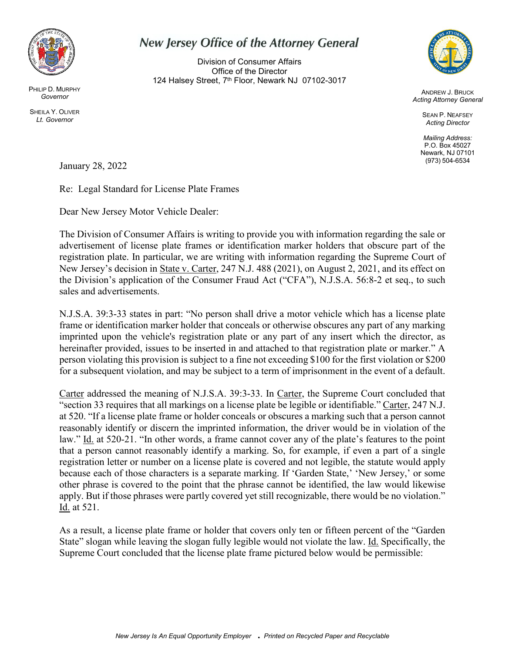

PHILIP D. MURPHY *Governor*

SHEILA Y. OLIVER *Lt. Governor*

## **New Jersey Office of the Attorney General**

Division of Consumer Affairs Office of the Director 124 Halsey Street, 7<sup>th</sup> Floor, Newark NJ 07102-3017



ANDREW J. BRUCK *Acting Attorney General*

> SEAN P. NEAFSEY *Acting Director*

*Mailing Address:* P.O. Box 45027 Newark, NJ 07101 (973) 504-6534

January 28, 2022

Re: Legal Standard for License Plate Frames

Dear New Jersey Motor Vehicle Dealer:

The Division of Consumer Affairs is writing to provide you with information regarding the sale or advertisement of license plate frames or identification marker holders that obscure part of the registration plate. In particular, we are writing with information regarding the Supreme Court of New Jersey's decision in State v. Carter, 247 N.J. 488 (2021), on August 2, 2021, and its effect on the Division's application of the Consumer Fraud Act ("CFA"), N.J.S.A. 56:8-2 et seq., to such sales and advertisements.

N.J.S.A. 39:3-33 states in part: "No person shall drive a motor vehicle which has a license plate frame or identification marker holder that conceals or otherwise obscures any part of any marking imprinted upon the vehicle's registration plate or any part of any insert which the director, as hereinafter provided, issues to be inserted in and attached to that registration plate or marker." A person violating this provision is subject to a fine not exceeding \$100 for the first violation or \$200 for a subsequent violation, and may be subject to a term of imprisonment in the event of a default.

Carter addressed the meaning of N.J.S.A. 39:3-33. In Carter, the Supreme Court concluded that "section 33 requires that all markings on a license plate be legible or identifiable." Carter, 247 N.J. at 520. "If a license plate frame or holder conceals or obscures a marking such that a person cannot reasonably identify or discern the imprinted information, the driver would be in violation of the law." Id. at 520-21. "In other words, a frame cannot cover any of the plate's features to the point that a person cannot reasonably identify a marking. So, for example, if even a part of a single registration letter or number on a license plate is covered and not legible, the statute would apply because each of those characters is a separate marking. If 'Garden State,' 'New Jersey,' or some other phrase is covered to the point that the phrase cannot be identified, the law would likewise apply. But if those phrases were partly covered yet still recognizable, there would be no violation." Id. at 521.

As a result, a license plate frame or holder that covers only ten or fifteen percent of the "Garden State" slogan while leaving the slogan fully legible would not violate the law. Id. Specifically, the Supreme Court concluded that the license plate frame pictured below would be permissible: